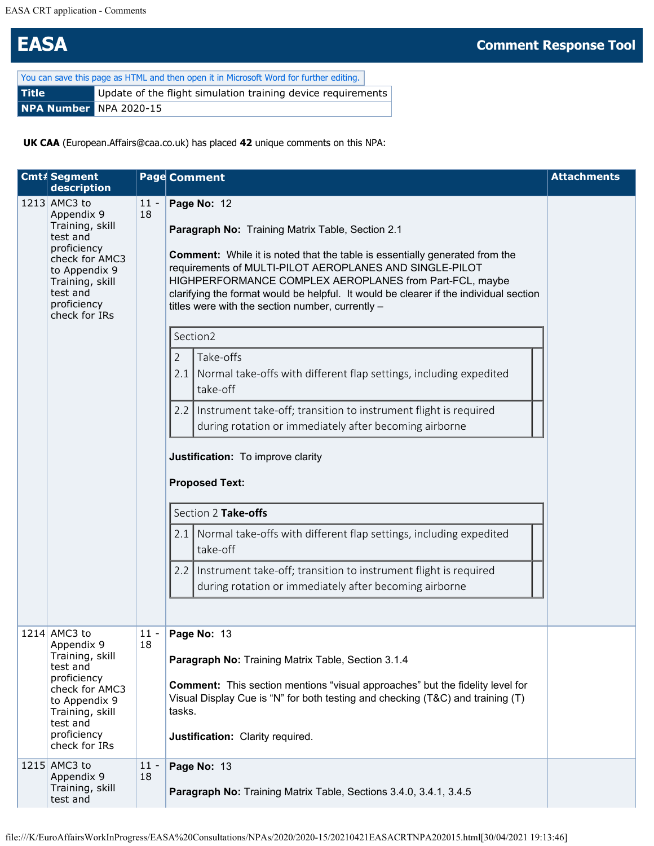## **EASA Comment Response Tool**

| You can save this page as HTML and then open it in Microsoft Word for further editing. |  |  |  |  |  |  |
|----------------------------------------------------------------------------------------|--|--|--|--|--|--|
| <b>Title</b><br>Update of the flight simulation training device requirements           |  |  |  |  |  |  |
| NPA Number NPA 2020-15                                                                 |  |  |  |  |  |  |

**UK CAA** (European.Affairs@caa.co.uk) has placed **42** unique comments on this NPA:

| Cmt# Segment<br>description                                                                                                                                                |              | Page Comment                                                                                                                                                                                                                                                                                                                                                                                                             | <b>Attachments</b> |
|----------------------------------------------------------------------------------------------------------------------------------------------------------------------------|--------------|--------------------------------------------------------------------------------------------------------------------------------------------------------------------------------------------------------------------------------------------------------------------------------------------------------------------------------------------------------------------------------------------------------------------------|--------------------|
| 1213 AMC3 to<br>Appendix 9<br>Training, skill<br>test and<br>proficiency<br>check for AMC3<br>to Appendix 9<br>Training, skill<br>test and<br>proficiency<br>check for IRs | $11 -$<br>18 | Page No: 12<br>Paragraph No: Training Matrix Table, Section 2.1<br><b>Comment:</b> While it is noted that the table is essentially generated from the<br>requirements of MULTI-PILOT AEROPLANES AND SINGLE-PILOT<br>HIGHPERFORMANCE COMPLEX AEROPLANES from Part-FCL, maybe<br>clarifying the format would be helpful. It would be clearer if the individual section<br>titles were with the section number, currently - |                    |
|                                                                                                                                                                            |              | Section2                                                                                                                                                                                                                                                                                                                                                                                                                 |                    |
|                                                                                                                                                                            |              | $\overline{2}$<br>Take-offs<br>Normal take-offs with different flap settings, including expedited<br>2.1<br>take-off                                                                                                                                                                                                                                                                                                     |                    |
|                                                                                                                                                                            |              | Instrument take-off; transition to instrument flight is required<br>2.2<br>during rotation or immediately after becoming airborne                                                                                                                                                                                                                                                                                        |                    |
|                                                                                                                                                                            |              | Justification: To improve clarity<br><b>Proposed Text:</b><br>Section 2 Take-offs                                                                                                                                                                                                                                                                                                                                        |                    |
|                                                                                                                                                                            |              | Normal take-offs with different flap settings, including expedited<br>2.1<br>take-off                                                                                                                                                                                                                                                                                                                                    |                    |
|                                                                                                                                                                            |              | Instrument take-off; transition to instrument flight is required<br>2.2<br>during rotation or immediately after becoming airborne                                                                                                                                                                                                                                                                                        |                    |
|                                                                                                                                                                            |              |                                                                                                                                                                                                                                                                                                                                                                                                                          |                    |
| 1214 AMC3 to<br>Appendix 9<br>Training, skill<br>test and<br>proficiency<br>check for AMC3<br>to Appendix 9<br>Training, skill<br>test and<br>proficiency<br>check for IRs | $11 -$<br>18 | Page No: 13<br>Paragraph No: Training Matrix Table, Section 3.1.4<br><b>Comment:</b> This section mentions "visual approaches" but the fidelity level for<br>Visual Display Cue is "N" for both testing and checking (T&C) and training (T)<br>tasks.<br>Justification: Clarity required.                                                                                                                                |                    |
| 1215 AMC3 to<br>Appendix 9<br>Training, skill<br>test and                                                                                                                  | $11 -$<br>18 | Page No: 13<br>Paragraph No: Training Matrix Table, Sections 3.4.0, 3.4.1, 3.4.5                                                                                                                                                                                                                                                                                                                                         |                    |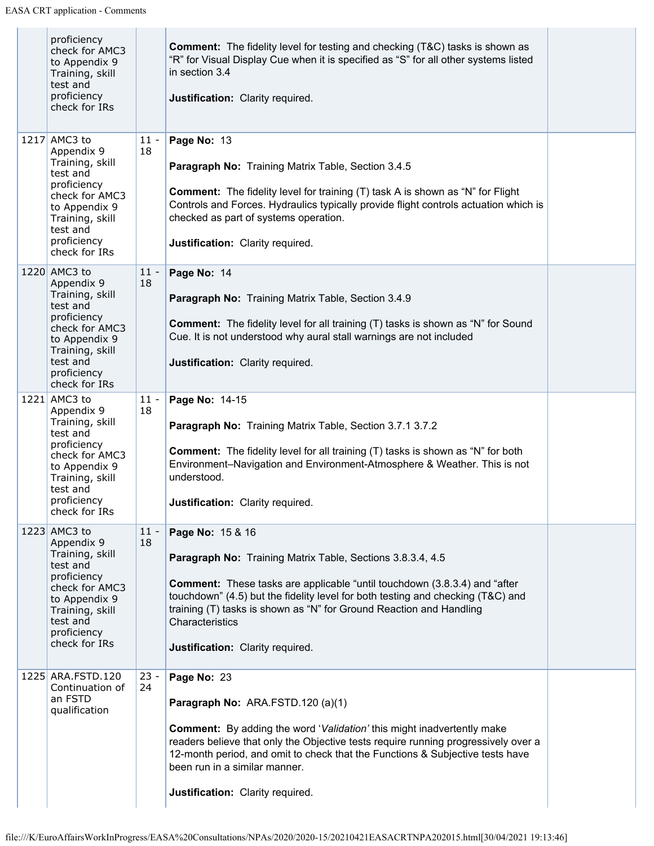| proficiency<br>check for AMC3<br>to Appendix 9<br>Training, skill<br>test and<br>proficiency<br>check for IRs                                                              |              | <b>Comment:</b> The fidelity level for testing and checking (T&C) tasks is shown as<br>"R" for Visual Display Cue when it is specified as "S" for all other systems listed<br>in section 3.4<br>Justification: Clarity required.                                                                                                                                                    |  |
|----------------------------------------------------------------------------------------------------------------------------------------------------------------------------|--------------|-------------------------------------------------------------------------------------------------------------------------------------------------------------------------------------------------------------------------------------------------------------------------------------------------------------------------------------------------------------------------------------|--|
| 1217 AMC3 to<br>Appendix 9<br>Training, skill<br>test and<br>proficiency<br>check for AMC3<br>to Appendix 9<br>Training, skill<br>test and<br>proficiency<br>check for IRs | $11 -$<br>18 | Page No: 13<br>Paragraph No: Training Matrix Table, Section 3.4.5<br><b>Comment:</b> The fidelity level for training (T) task A is shown as "N" for Flight<br>Controls and Forces. Hydraulics typically provide flight controls actuation which is<br>checked as part of systems operation.<br>Justification: Clarity required.                                                     |  |
| 1220 AMC3 to<br>Appendix 9<br>Training, skill<br>test and<br>proficiency<br>check for AMC3<br>to Appendix 9<br>Training, skill<br>test and<br>proficiency<br>check for IRs | $11 -$<br>18 | Page No: 14<br>Paragraph No: Training Matrix Table, Section 3.4.9<br><b>Comment:</b> The fidelity level for all training (T) tasks is shown as "N" for Sound<br>Cue. It is not understood why aural stall warnings are not included<br>Justification: Clarity required.                                                                                                             |  |
| 1221 AMC3 to<br>Appendix 9<br>Training, skill<br>test and<br>proficiency<br>check for AMC3<br>to Appendix 9<br>Training, skill<br>test and<br>proficiency<br>check for IRs | $11 -$<br>18 | Page No: 14-15<br>Paragraph No: Training Matrix Table, Section 3.7.1 3.7.2<br><b>Comment:</b> The fidelity level for all training (T) tasks is shown as "N" for both<br>Environment-Navigation and Environment-Atmosphere & Weather. This is not<br>understood.<br>Justification: Clarity required.                                                                                 |  |
| 1223 AMC3 to<br>Appendix 9<br>Training, skill<br>test and<br>proficiency<br>check for AMC3<br>to Appendix 9<br>Training, skill<br>test and<br>proficiency<br>check for IRs | $11 -$<br>18 | Page No: 15 & 16<br>Paragraph No: Training Matrix Table, Sections 3.8.3.4, 4.5<br><b>Comment:</b> These tasks are applicable "until touchdown (3.8.3.4) and "after<br>touchdown" (4.5) but the fidelity level for both testing and checking (T&C) and<br>training (T) tasks is shown as "N" for Ground Reaction and Handling<br>Characteristics<br>Justification: Clarity required. |  |
| 1225 ARA.FSTD.120<br>Continuation of<br>an FSTD<br>qualification                                                                                                           | $23 -$<br>24 | Page No: 23<br>Paragraph No: ARA.FSTD.120 (a)(1)<br><b>Comment:</b> By adding the word 'Validation' this might inadvertently make<br>readers believe that only the Objective tests require running progressively over a<br>12-month period, and omit to check that the Functions & Subjective tests have<br>been run in a similar manner.<br>Justification: Clarity required.       |  |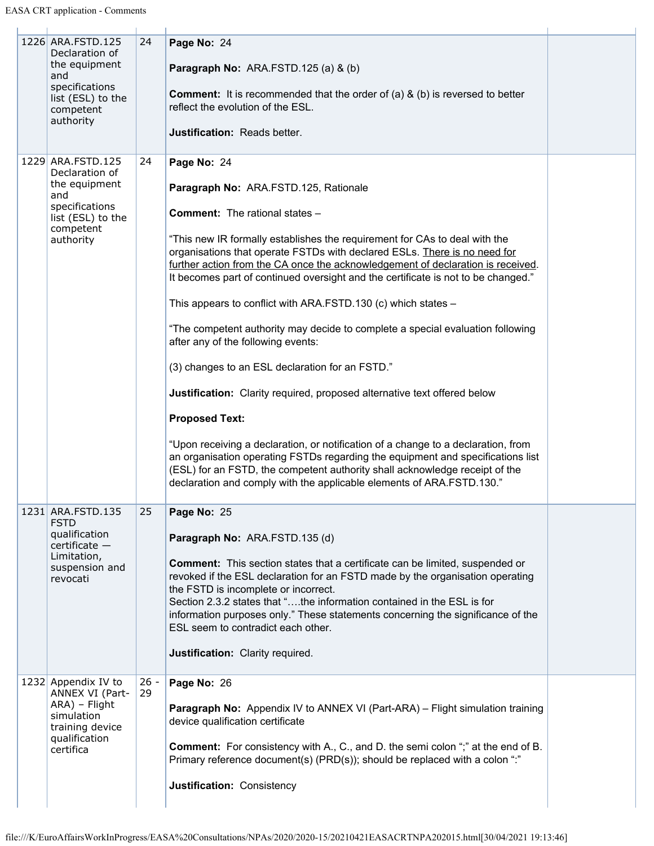| 1226 ARA.FSTD.125<br>Declaration of<br>the equipment<br>and<br>specifications<br>list (ESL) to the<br>competent<br>authority | 24           | Page No: 24<br>Paragraph No: ARA.FSTD.125 (a) & (b)<br><b>Comment:</b> It is recommended that the order of (a) $\&$ (b) is reversed to better<br>reflect the evolution of the ESL.<br><b>Justification: Reads better.</b>                                                                                                                                                                                                                                                                                                                                                                                                                                                                                                                                                                                                                                                                                                                                                                                                                                                                                         |  |
|------------------------------------------------------------------------------------------------------------------------------|--------------|-------------------------------------------------------------------------------------------------------------------------------------------------------------------------------------------------------------------------------------------------------------------------------------------------------------------------------------------------------------------------------------------------------------------------------------------------------------------------------------------------------------------------------------------------------------------------------------------------------------------------------------------------------------------------------------------------------------------------------------------------------------------------------------------------------------------------------------------------------------------------------------------------------------------------------------------------------------------------------------------------------------------------------------------------------------------------------------------------------------------|--|
| 1229 ARA.FSTD.125<br>Declaration of<br>the equipment<br>and<br>specifications<br>list (ESL) to the<br>competent<br>authority | 24           | Page No: 24<br>Paragraph No: ARA.FSTD.125, Rationale<br><b>Comment:</b> The rational states -<br>"This new IR formally establishes the requirement for CAs to deal with the<br>organisations that operate FSTDs with declared ESLs. There is no need for<br>further action from the CA once the acknowledgement of declaration is received.<br>It becomes part of continued oversight and the certificate is not to be changed."<br>This appears to conflict with ARA.FSTD.130 (c) which states -<br>"The competent authority may decide to complete a special evaluation following<br>after any of the following events:<br>(3) changes to an ESL declaration for an FSTD."<br>Justification: Clarity required, proposed alternative text offered below<br><b>Proposed Text:</b><br>"Upon receiving a declaration, or notification of a change to a declaration, from<br>an organisation operating FSTDs regarding the equipment and specifications list<br>(ESL) for an FSTD, the competent authority shall acknowledge receipt of the<br>declaration and comply with the applicable elements of ARA.FSTD.130." |  |
| 1231 ARA.FSTD.135<br><b>FSTD</b><br>qualification<br>$c$ ertificate $-$<br>Limitation,<br>suspension and<br>revocati         | 25           | Page No: 25<br>Paragraph No: ARA.FSTD.135 (d)<br><b>Comment:</b> This section states that a certificate can be limited, suspended or<br>revoked if the ESL declaration for an FSTD made by the organisation operating<br>the FSTD is incomplete or incorrect.<br>Section 2.3.2 states that "the information contained in the ESL is for<br>information purposes only." These statements concerning the significance of the<br>ESL seem to contradict each other.<br>Justification: Clarity required.                                                                                                                                                                                                                                                                                                                                                                                                                                                                                                                                                                                                              |  |
| 1232 Appendix IV to<br>ANNEX VI (Part-<br>ARA) - Flight<br>simulation<br>training device<br>qualification<br>certifica       | $26 -$<br>29 | Page No: 26<br><b>Paragraph No:</b> Appendix IV to ANNEX VI (Part-ARA) – Flight simulation training<br>device qualification certificate<br><b>Comment:</b> For consistency with A., C., and D. the semi colon ";" at the end of B.<br>Primary reference document(s) (PRD(s)); should be replaced with a colon ":"<br>Justification: Consistency                                                                                                                                                                                                                                                                                                                                                                                                                                                                                                                                                                                                                                                                                                                                                                   |  |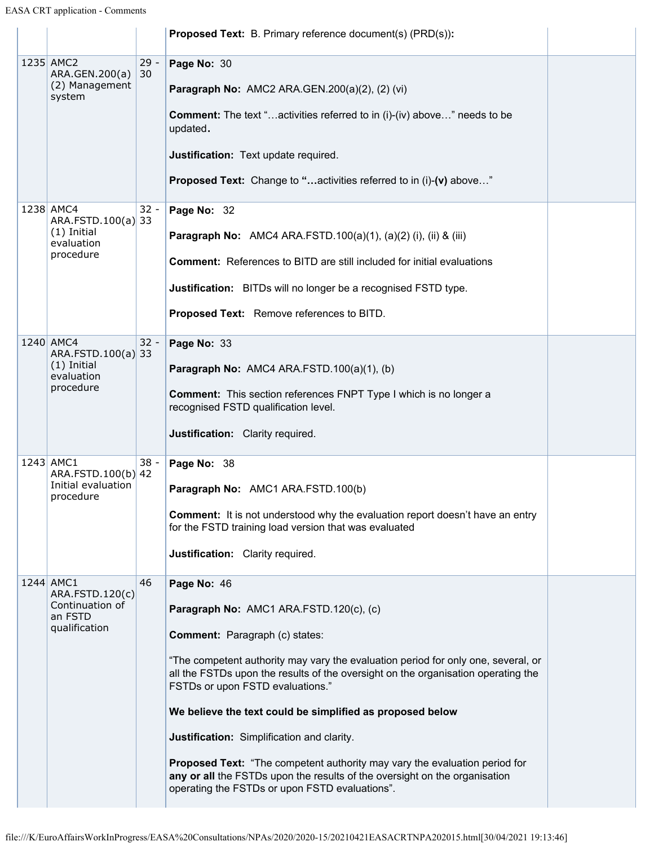|                                                                             |              | <b>Proposed Text:</b> B. Primary reference document(s) (PRD(s)):                                                                                                                                                                                                                                                                                                                                                                                                                                                                                                                                                                       |  |
|-----------------------------------------------------------------------------|--------------|----------------------------------------------------------------------------------------------------------------------------------------------------------------------------------------------------------------------------------------------------------------------------------------------------------------------------------------------------------------------------------------------------------------------------------------------------------------------------------------------------------------------------------------------------------------------------------------------------------------------------------------|--|
| 1235 AMC2<br>ARA.GEN.200(a)<br>(2) Management<br>system                     | $29 -$<br>30 | Page No: 30<br>Paragraph No: AMC2 ARA.GEN.200(a)(2), (2) (vi)<br><b>Comment:</b> The text "activities referred to in (i)-(iv) above" needs to be<br>updated.<br>Justification: Text update required.                                                                                                                                                                                                                                                                                                                                                                                                                                   |  |
|                                                                             |              | <b>Proposed Text:</b> Change to "activities referred to in (i)-(v) above"                                                                                                                                                                                                                                                                                                                                                                                                                                                                                                                                                              |  |
| 1238 AMC4<br>ARA.FSTD.100(a) 33<br>$(1)$ Initial<br>evaluation<br>procedure | $32 -$       | Page No: 32<br>Paragraph No: AMC4 ARA.FSTD.100(a)(1), (a)(2) (i), (ii) & (iii)<br><b>Comment:</b> References to BITD are still included for initial evaluations<br>Justification: BITDs will no longer be a recognised FSTD type.<br>Proposed Text: Remove references to BITD.                                                                                                                                                                                                                                                                                                                                                         |  |
| 1240 AMC4<br>ARA.FSTD.100(a) 33<br>$(1)$ Initial<br>evaluation<br>procedure | $32 -$       | Page No: 33<br>Paragraph No: AMC4 ARA.FSTD.100(a)(1), (b)<br><b>Comment:</b> This section references FNPT Type I which is no longer a<br>recognised FSTD qualification level.<br>Justification: Clarity required.                                                                                                                                                                                                                                                                                                                                                                                                                      |  |
| 1243 AMC1<br>ARA.FSTD.100(b) 42<br>Initial evaluation<br>procedure          | $38 -$       | Page No: 38<br>Paragraph No: AMC1 ARA.FSTD.100(b)<br><b>Comment:</b> It is not understood why the evaluation report doesn't have an entry<br>for the FSTD training load version that was evaluated<br>Justification: Clarity required.                                                                                                                                                                                                                                                                                                                                                                                                 |  |
| 1244 AMC1<br>ARA.FSTD.120(c)<br>Continuation of<br>an FSTD<br>qualification | 46           | Page No: 46<br>Paragraph No: AMC1 ARA.FSTD.120(c), (c)<br><b>Comment:</b> Paragraph (c) states:<br>"The competent authority may vary the evaluation period for only one, several, or<br>all the FSTDs upon the results of the oversight on the organisation operating the<br>FSTDs or upon FSTD evaluations."<br>We believe the text could be simplified as proposed below<br>Justification: Simplification and clarity.<br>Proposed Text: "The competent authority may vary the evaluation period for<br>any or all the FSTDs upon the results of the oversight on the organisation<br>operating the FSTDs or upon FSTD evaluations". |  |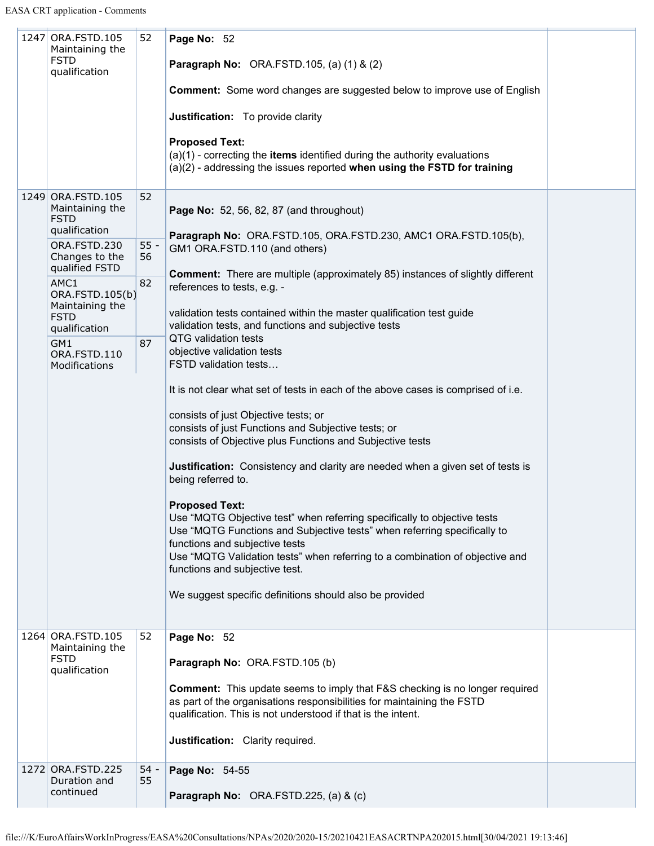$\mathbb{R}^n$ 

 $\mathbf{L}$ 

| 1247 ORA.FSTD.105<br>Maintaining the<br><b>FSTD</b><br>qualification                                   | 52                 | Page No: 52<br><b>Paragraph No: ORA.FSTD.105, (a) (1) &amp; (2)</b><br><b>Comment:</b> Some word changes are suggested below to improve use of English<br>Justification: To provide clarity<br><b>Proposed Text:</b><br>$(a)(1)$ - correcting the items identified during the authority evaluations<br>(a)(2) - addressing the issues reported when using the FSTD for training                                    |  |
|--------------------------------------------------------------------------------------------------------|--------------------|--------------------------------------------------------------------------------------------------------------------------------------------------------------------------------------------------------------------------------------------------------------------------------------------------------------------------------------------------------------------------------------------------------------------|--|
| 1249 ORA.FSTD.105<br>Maintaining the<br><b>FSTD</b><br>qualification<br>ORA.FSTD.230<br>Changes to the | 52<br>$55 -$<br>56 | <b>Page No:</b> 52, 56, 82, 87 (and throughout)<br>Paragraph No: ORA.FSTD.105, ORA.FSTD.230, AMC1 ORA.FSTD.105(b),<br>GM1 ORA.FSTD.110 (and others)                                                                                                                                                                                                                                                                |  |
| qualified FSTD<br>AMC1<br>ORA.FSTD.105(b)<br>Maintaining the<br><b>FSTD</b>                            | 82                 | <b>Comment:</b> There are multiple (approximately 85) instances of slightly different<br>references to tests, e.g. -<br>validation tests contained within the master qualification test guide<br>validation tests, and functions and subjective tests                                                                                                                                                              |  |
| qualification<br>GM1<br>ORA.FSTD.110<br>Modifications                                                  | 87                 | QTG validation tests<br>objective validation tests<br>FSTD validation tests                                                                                                                                                                                                                                                                                                                                        |  |
|                                                                                                        |                    | It is not clear what set of tests in each of the above cases is comprised of i.e.<br>consists of just Objective tests; or<br>consists of just Functions and Subjective tests; or<br>consists of Objective plus Functions and Subjective tests<br><b>Justification:</b> Consistency and clarity are needed when a given set of tests is                                                                             |  |
|                                                                                                        |                    | being referred to.<br><b>Proposed Text:</b><br>Use "MQTG Objective test" when referring specifically to objective tests<br>Use "MQTG Functions and Subjective tests" when referring specifically to<br>functions and subjective tests<br>Use "MQTG Validation tests" when referring to a combination of objective and<br>functions and subjective test.<br>We suggest specific definitions should also be provided |  |
| 1264 ORA.FSTD.105<br>Maintaining the<br><b>FSTD</b><br>qualification                                   | 52                 | Page No: 52<br>Paragraph No: ORA.FSTD.105 (b)<br><b>Comment:</b> This update seems to imply that F&S checking is no longer required<br>as part of the organisations responsibilities for maintaining the FSTD<br>qualification. This is not understood if that is the intent.                                                                                                                                      |  |
| 1272 ORA.FSTD.225<br>Duration and                                                                      | $54 -$<br>55       | Justification: Clarity required.<br>Page No: 54-55                                                                                                                                                                                                                                                                                                                                                                 |  |
| continued                                                                                              |                    | Paragraph No: ORA.FSTD.225, (a) & (c)                                                                                                                                                                                                                                                                                                                                                                              |  |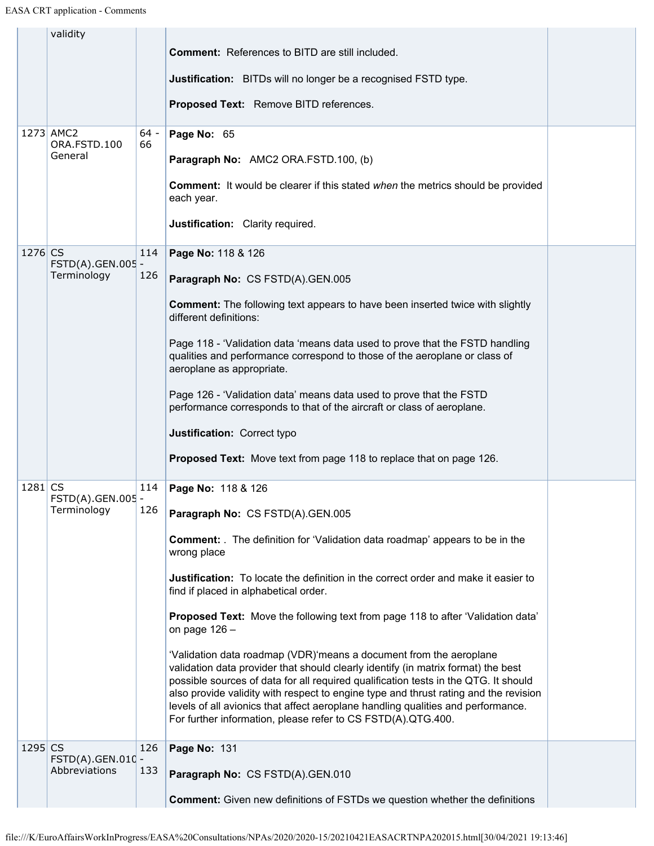|           | validity                  |              |                                                                                                                                                                                                                                                                                                                                                                                                                                                                                            |  |
|-----------|---------------------------|--------------|--------------------------------------------------------------------------------------------------------------------------------------------------------------------------------------------------------------------------------------------------------------------------------------------------------------------------------------------------------------------------------------------------------------------------------------------------------------------------------------------|--|
|           |                           |              | <b>Comment:</b> References to BITD are still included.                                                                                                                                                                                                                                                                                                                                                                                                                                     |  |
|           |                           |              | Justification: BITDs will no longer be a recognised FSTD type.                                                                                                                                                                                                                                                                                                                                                                                                                             |  |
|           |                           |              | Proposed Text: Remove BITD references.                                                                                                                                                                                                                                                                                                                                                                                                                                                     |  |
|           | 1273 AMC2<br>ORA.FSTD.100 | $64 -$<br>66 | Page No: 65                                                                                                                                                                                                                                                                                                                                                                                                                                                                                |  |
|           | General                   |              | Paragraph No: AMC2 ORA.FSTD.100, (b)                                                                                                                                                                                                                                                                                                                                                                                                                                                       |  |
|           |                           |              | <b>Comment:</b> It would be clearer if this stated when the metrics should be provided<br>each year.                                                                                                                                                                                                                                                                                                                                                                                       |  |
|           |                           |              | Justification: Clarity required.                                                                                                                                                                                                                                                                                                                                                                                                                                                           |  |
| 1276 CS   | FSTD(A).GEN.005 -         | 114          | Page No: 118 & 126                                                                                                                                                                                                                                                                                                                                                                                                                                                                         |  |
|           | Terminology               | 126          | Paragraph No: CS FSTD(A).GEN.005                                                                                                                                                                                                                                                                                                                                                                                                                                                           |  |
|           |                           |              | <b>Comment:</b> The following text appears to have been inserted twice with slightly<br>different definitions:                                                                                                                                                                                                                                                                                                                                                                             |  |
|           |                           |              | Page 118 - 'Validation data 'means data used to prove that the FSTD handling<br>qualities and performance correspond to those of the aeroplane or class of<br>aeroplane as appropriate.                                                                                                                                                                                                                                                                                                    |  |
|           |                           |              | Page 126 - 'Validation data' means data used to prove that the FSTD<br>performance corresponds to that of the aircraft or class of aeroplane.                                                                                                                                                                                                                                                                                                                                              |  |
|           |                           |              | Justification: Correct typo                                                                                                                                                                                                                                                                                                                                                                                                                                                                |  |
|           |                           |              | <b>Proposed Text:</b> Move text from page 118 to replace that on page 126.                                                                                                                                                                                                                                                                                                                                                                                                                 |  |
| $1281$ CS | FSTD(A).GEN.005 -         | 114          | Page No: 118 & 126                                                                                                                                                                                                                                                                                                                                                                                                                                                                         |  |
|           | Terminology               | 126          | Paragraph No: CS FSTD(A).GEN.005                                                                                                                                                                                                                                                                                                                                                                                                                                                           |  |
|           |                           |              | <b>Comment:</b> The definition for 'Validation data roadmap' appears to be in the<br>wrong place                                                                                                                                                                                                                                                                                                                                                                                           |  |
|           |                           |              | <b>Justification:</b> To locate the definition in the correct order and make it easier to<br>find if placed in alphabetical order.                                                                                                                                                                                                                                                                                                                                                         |  |
|           |                           |              | Proposed Text: Move the following text from page 118 to after 'Validation data'<br>on page $126 -$                                                                                                                                                                                                                                                                                                                                                                                         |  |
|           |                           |              | 'Validation data roadmap (VDR)'means a document from the aeroplane<br>validation data provider that should clearly identify (in matrix format) the best<br>possible sources of data for all required qualification tests in the QTG. It should<br>also provide validity with respect to engine type and thrust rating and the revision<br>levels of all avionics that affect aeroplane handling qualities and performance.<br>For further information, please refer to CS FSTD(A).QTG.400. |  |
| 1295 CS   | FSTD(A).GEN.010 -         | 126          | Page No: 131                                                                                                                                                                                                                                                                                                                                                                                                                                                                               |  |
|           | Abbreviations             | 133          | Paragraph No: CS FSTD(A).GEN.010                                                                                                                                                                                                                                                                                                                                                                                                                                                           |  |
|           |                           |              | <b>Comment:</b> Given new definitions of FSTDs we question whether the definitions                                                                                                                                                                                                                                                                                                                                                                                                         |  |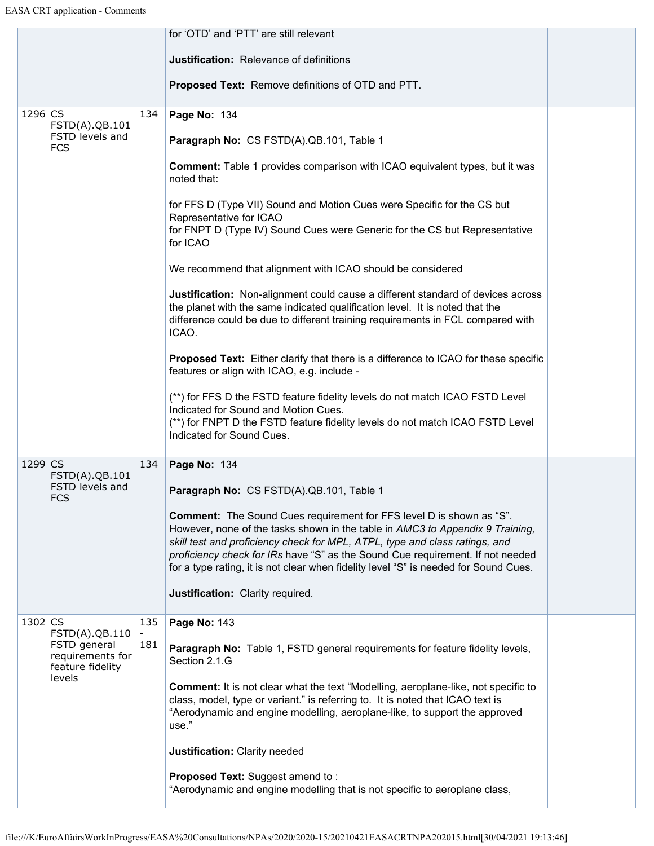|           |                                                      |     | for 'OTD' and 'PTT' are still relevant                                                                                                                                                                                                                                                                                                                                                                                |  |
|-----------|------------------------------------------------------|-----|-----------------------------------------------------------------------------------------------------------------------------------------------------------------------------------------------------------------------------------------------------------------------------------------------------------------------------------------------------------------------------------------------------------------------|--|
|           |                                                      |     | Justification: Relevance of definitions                                                                                                                                                                                                                                                                                                                                                                               |  |
|           |                                                      |     | <b>Proposed Text:</b> Remove definitions of OTD and PTT.                                                                                                                                                                                                                                                                                                                                                              |  |
| $1296$ CS | FSTD(A).QB.101                                       | 134 | Page No: 134                                                                                                                                                                                                                                                                                                                                                                                                          |  |
|           | FSTD levels and<br><b>FCS</b>                        |     | Paragraph No: CS FSTD(A).QB.101, Table 1                                                                                                                                                                                                                                                                                                                                                                              |  |
|           |                                                      |     | <b>Comment:</b> Table 1 provides comparison with ICAO equivalent types, but it was<br>noted that:                                                                                                                                                                                                                                                                                                                     |  |
|           |                                                      |     | for FFS D (Type VII) Sound and Motion Cues were Specific for the CS but                                                                                                                                                                                                                                                                                                                                               |  |
|           |                                                      |     | Representative for ICAO<br>for FNPT D (Type IV) Sound Cues were Generic for the CS but Representative<br>for ICAO                                                                                                                                                                                                                                                                                                     |  |
|           |                                                      |     | We recommend that alignment with ICAO should be considered                                                                                                                                                                                                                                                                                                                                                            |  |
|           |                                                      |     | Justification: Non-alignment could cause a different standard of devices across<br>the planet with the same indicated qualification level. It is noted that the<br>difference could be due to different training requirements in FCL compared with<br>ICAO.                                                                                                                                                           |  |
|           |                                                      |     | <b>Proposed Text:</b> Either clarify that there is a difference to ICAO for these specific<br>features or align with ICAO, e.g. include -                                                                                                                                                                                                                                                                             |  |
|           |                                                      |     | (**) for FFS D the FSTD feature fidelity levels do not match ICAO FSTD Level<br>Indicated for Sound and Motion Cues.                                                                                                                                                                                                                                                                                                  |  |
|           |                                                      |     | (**) for FNPT D the FSTD feature fidelity levels do not match ICAO FSTD Level<br>Indicated for Sound Cues.                                                                                                                                                                                                                                                                                                            |  |
| 1299 CS   | FSTD(A).QB.101                                       | 134 | Page No: 134                                                                                                                                                                                                                                                                                                                                                                                                          |  |
|           | FSTD levels and<br><b>FCS</b>                        |     | Paragraph No: CS FSTD(A).QB.101, Table 1                                                                                                                                                                                                                                                                                                                                                                              |  |
|           |                                                      |     | <b>Comment:</b> The Sound Cues requirement for FFS level D is shown as "S".<br>However, none of the tasks shown in the table in AMC3 to Appendix 9 Training,<br>skill test and proficiency check for MPL, ATPL, type and class ratings, and<br>proficiency check for IRs have "S" as the Sound Cue requirement. If not needed<br>for a type rating, it is not clear when fidelity level "S" is needed for Sound Cues. |  |
|           |                                                      |     | Justification: Clarity required.                                                                                                                                                                                                                                                                                                                                                                                      |  |
| $1302$ CS | FSTD(A).QB.110                                       | 135 | Page No: 143                                                                                                                                                                                                                                                                                                                                                                                                          |  |
|           | FSTD general<br>requirements for<br>feature fidelity | 181 | Paragraph No: Table 1, FSTD general requirements for feature fidelity levels,<br>Section 2.1.G                                                                                                                                                                                                                                                                                                                        |  |
|           | levels                                               |     | <b>Comment:</b> It is not clear what the text "Modelling, aeroplane-like, not specific to<br>class, model, type or variant." is referring to. It is noted that ICAO text is<br>"Aerodynamic and engine modelling, aeroplane-like, to support the approved<br>use."                                                                                                                                                    |  |
|           |                                                      |     | Justification: Clarity needed                                                                                                                                                                                                                                                                                                                                                                                         |  |
|           |                                                      |     | <b>Proposed Text: Suggest amend to:</b><br>"Aerodynamic and engine modelling that is not specific to aeroplane class,                                                                                                                                                                                                                                                                                                 |  |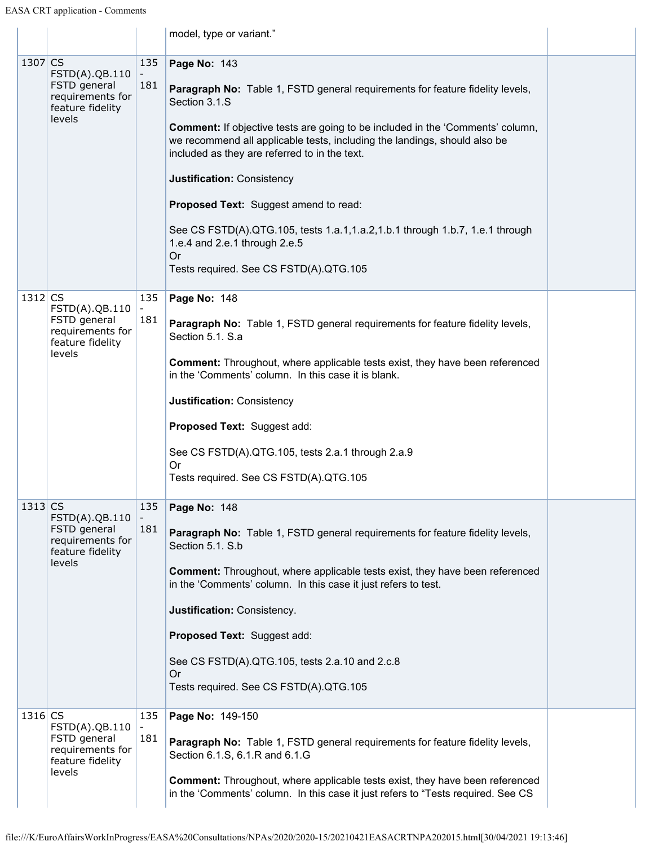|           |                                                                                  |            | model, type or variant."                                                                                                                                                                                                                                                                                                                                                                                                                                                                                                                                                             |  |
|-----------|----------------------------------------------------------------------------------|------------|--------------------------------------------------------------------------------------------------------------------------------------------------------------------------------------------------------------------------------------------------------------------------------------------------------------------------------------------------------------------------------------------------------------------------------------------------------------------------------------------------------------------------------------------------------------------------------------|--|
| $1307$ CS | FSTD(A).QB.110<br>FSTD general<br>requirements for<br>feature fidelity<br>levels | 135<br>181 | Page No: 143<br>Paragraph No: Table 1, FSTD general requirements for feature fidelity levels,<br>Section 3.1.S<br><b>Comment:</b> If objective tests are going to be included in the 'Comments' column,<br>we recommend all applicable tests, including the landings, should also be<br>included as they are referred to in the text.<br>Justification: Consistency<br>Proposed Text: Suggest amend to read:<br>See CS FSTD(A).QTG.105, tests 1.a.1,1.a.2,1.b.1 through 1.b.7, 1.e.1 through<br>1.e.4 and 2.e.1 through 2.e.5<br><b>Or</b><br>Tests required. See CS FSTD(A).QTG.105 |  |
| $1312$ CS | FSTD(A).QB.110<br>FSTD general<br>requirements for<br>feature fidelity<br>levels | 135<br>181 | Page No: 148<br>Paragraph No: Table 1, FSTD general requirements for feature fidelity levels,<br>Section 5.1. S.a<br><b>Comment:</b> Throughout, where applicable tests exist, they have been referenced<br>in the 'Comments' column. In this case it is blank.<br>Justification: Consistency<br>Proposed Text: Suggest add:<br>See CS FSTD(A).QTG.105, tests 2.a.1 through 2.a.9<br><b>Or</b><br>Tests required. See CS FSTD(A).QTG.105                                                                                                                                             |  |
| $1313$ CS | FSTD(A).QB.110<br>FSTD general<br>requirements for<br>feature fidelity<br>levels | 135<br>181 | Page No: 148<br>Paragraph No: Table 1, FSTD general requirements for feature fidelity levels,<br>Section 5.1. S.b<br><b>Comment:</b> Throughout, where applicable tests exist, they have been referenced<br>in the 'Comments' column. In this case it just refers to test.<br>Justification: Consistency.<br>Proposed Text: Suggest add:<br>See CS FSTD(A).QTG.105, tests 2.a.10 and 2.c.8<br><b>Or</b><br>Tests required. See CS FSTD(A).QTG.105                                                                                                                                    |  |
| $1316$ CS | FSTD(A).QB.110<br>FSTD general<br>requirements for<br>feature fidelity<br>levels | 135<br>181 | Page No: 149-150<br>Paragraph No: Table 1, FSTD general requirements for feature fidelity levels,<br>Section 6.1.S, 6.1.R and 6.1.G<br><b>Comment:</b> Throughout, where applicable tests exist, they have been referenced<br>in the 'Comments' column. In this case it just refers to "Tests required. See CS                                                                                                                                                                                                                                                                       |  |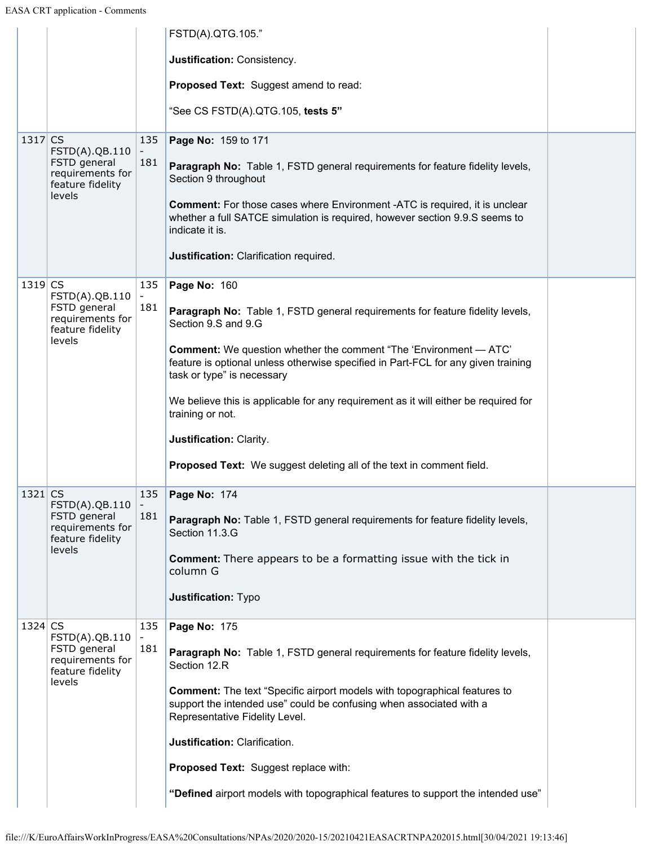|           |                                                                        |            | FSTD(A).QTG.105."                                                                                                                                                                           |  |
|-----------|------------------------------------------------------------------------|------------|---------------------------------------------------------------------------------------------------------------------------------------------------------------------------------------------|--|
|           |                                                                        |            | Justification: Consistency.                                                                                                                                                                 |  |
|           |                                                                        |            | Proposed Text: Suggest amend to read:                                                                                                                                                       |  |
|           |                                                                        |            | "See CS FSTD(A).QTG.105, tests 5"                                                                                                                                                           |  |
| 1317 CS   | FSTD(A).QB.110<br>FSTD general<br>requirements for<br>feature fidelity | 135<br>181 | Page No: 159 to 171<br>Paragraph No: Table 1, FSTD general requirements for feature fidelity levels,<br>Section 9 throughout                                                                |  |
|           | levels                                                                 |            | <b>Comment:</b> For those cases where Environment -ATC is required, it is unclear<br>whether a full SATCE simulation is required, however section 9.9.S seems to<br>indicate it is.         |  |
|           |                                                                        |            | Justification: Clarification required.                                                                                                                                                      |  |
| $1319$ CS | FSTD(A).QB.110                                                         | 135        | Page No: 160                                                                                                                                                                                |  |
|           | FSTD general<br>requirements for<br>feature fidelity                   | 181        | Paragraph No: Table 1, FSTD general requirements for feature fidelity levels,<br>Section 9.S and 9.G                                                                                        |  |
|           | levels                                                                 |            | <b>Comment:</b> We question whether the comment "The 'Environment - ATC'<br>feature is optional unless otherwise specified in Part-FCL for any given training<br>task or type" is necessary |  |
|           |                                                                        |            | We believe this is applicable for any requirement as it will either be required for<br>training or not.                                                                                     |  |
|           |                                                                        |            | Justification: Clarity.                                                                                                                                                                     |  |
|           |                                                                        |            | Proposed Text: We suggest deleting all of the text in comment field.                                                                                                                        |  |
| $1321$ CS | FSTD(A).QB.110                                                         | 135        | Page No: 174                                                                                                                                                                                |  |
|           | FSTD general<br>requirements for<br>feature fidelity                   | 181        | Paragraph No: Table 1, FSTD general requirements for feature fidelity levels,<br>Section 11.3.G                                                                                             |  |
|           | levels                                                                 |            | <b>Comment:</b> There appears to be a formatting issue with the tick in<br>column G                                                                                                         |  |
|           |                                                                        |            | <b>Justification: Typo</b>                                                                                                                                                                  |  |
| 1324 CS   | FSTD(A).QB.110                                                         | 135        | Page No: 175                                                                                                                                                                                |  |
|           | FSTD general<br>requirements for<br>feature fidelity                   | 181        | Paragraph No: Table 1, FSTD general requirements for feature fidelity levels,<br>Section 12.R                                                                                               |  |
|           | levels                                                                 |            | <b>Comment:</b> The text "Specific airport models with topographical features to<br>support the intended use" could be confusing when associated with a<br>Representative Fidelity Level.   |  |
|           |                                                                        |            | Justification: Clarification.                                                                                                                                                               |  |
|           |                                                                        |            | Proposed Text: Suggest replace with:                                                                                                                                                        |  |
|           |                                                                        |            | "Defined airport models with topographical features to support the intended use"                                                                                                            |  |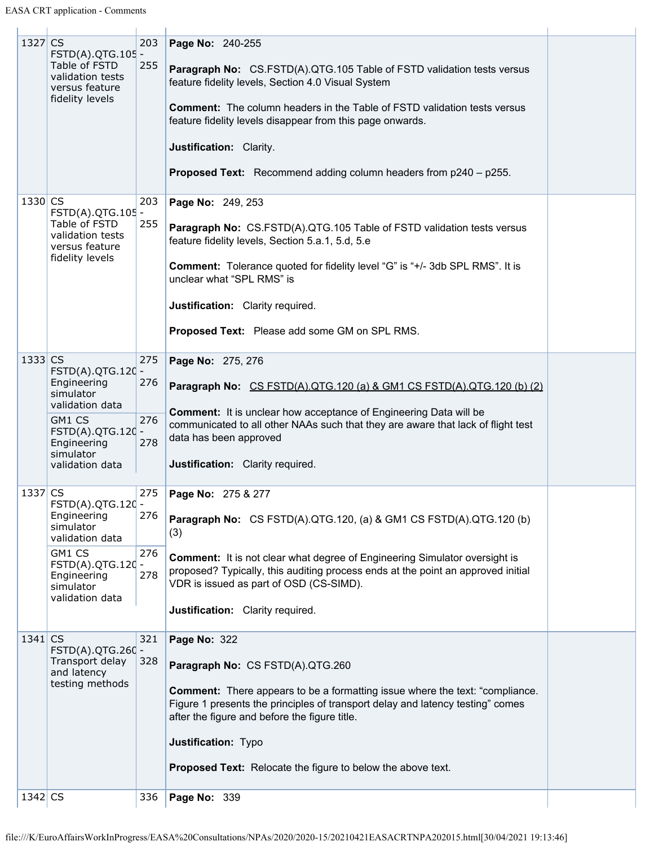| $1327$ CS |                                                                          | 203        | Page No: 240-255                                                                                                                                                                                                       |  |
|-----------|--------------------------------------------------------------------------|------------|------------------------------------------------------------------------------------------------------------------------------------------------------------------------------------------------------------------------|--|
|           | FSTD(A).QTG.105 -<br>Table of FSTD<br>validation tests<br>versus feature | 255        | <b>Paragraph No:</b> CS.FSTD(A).QTG.105 Table of FSTD validation tests versus<br>feature fidelity levels, Section 4.0 Visual System                                                                                    |  |
|           | fidelity levels                                                          |            | <b>Comment:</b> The column headers in the Table of FSTD validation tests versus<br>feature fidelity levels disappear from this page onwards.                                                                           |  |
|           |                                                                          |            | Justification: Clarity.                                                                                                                                                                                                |  |
|           |                                                                          |            | Proposed Text: Recommend adding column headers from p240 - p255.                                                                                                                                                       |  |
| 1330 CS   | FSTD(A).QTG.105 -                                                        | 203        | Page No: 249, 253                                                                                                                                                                                                      |  |
|           | Table of FSTD<br>validation tests<br>versus feature                      | 255        | Paragraph No: CS.FSTD(A).QTG.105 Table of FSTD validation tests versus<br>feature fidelity levels, Section 5.a.1, 5.d, 5.e                                                                                             |  |
|           | fidelity levels                                                          |            | <b>Comment:</b> Tolerance quoted for fidelity level "G" is "+/- 3db SPL RMS". It is<br>unclear what "SPL RMS" is                                                                                                       |  |
|           |                                                                          |            | Justification: Clarity required.                                                                                                                                                                                       |  |
|           |                                                                          |            | Proposed Text: Please add some GM on SPL RMS.                                                                                                                                                                          |  |
| $1333$ CS |                                                                          | 275        | Page No: 275, 276                                                                                                                                                                                                      |  |
|           | FSTD(A).QTG.120 -<br>Engineering<br>simulator<br>validation data         | 276        | Paragraph No: CS FSTD(A).QTG.120 (a) & GM1 CS FSTD(A).QTG.120 (b) (2)                                                                                                                                                  |  |
|           | GM1 CS<br>FSTD(A).QTG.120 -<br>Engineering                               | 276<br>278 | <b>Comment:</b> It is unclear how acceptance of Engineering Data will be<br>communicated to all other NAAs such that they are aware that lack of flight test<br>data has been approved                                 |  |
|           | simulator<br>validation data                                             |            | Justification: Clarity required.                                                                                                                                                                                       |  |
| 1337 CS   |                                                                          | 275        | Page No: 275 & 277                                                                                                                                                                                                     |  |
|           | FSTD(A).QTG.120 -<br>Engineering<br>simulator<br>validation data         | 276        | Paragraph No: CS FSTD(A).QTG.120, (a) & GM1 CS FSTD(A).QTG.120 (b)<br>(3)                                                                                                                                              |  |
|           | GM1 CS                                                                   | 276        | <b>Comment:</b> It is not clear what degree of Engineering Simulator oversight is                                                                                                                                      |  |
|           | FSTD(A).QTG.120 -<br>Engineering<br>simulator                            | 278        | proposed? Typically, this auditing process ends at the point an approved initial<br>VDR is issued as part of OSD (CS-SIMD).                                                                                            |  |
|           | validation data                                                          |            | Justification: Clarity required.                                                                                                                                                                                       |  |
| $1341$ CS |                                                                          | 321        | Page No: 322                                                                                                                                                                                                           |  |
|           | FSTD(A).QTG.260 -<br>Transport delay<br>and latency                      | 328        | Paragraph No: CS FSTD(A).QTG.260                                                                                                                                                                                       |  |
|           | testing methods                                                          |            | <b>Comment:</b> There appears to be a formatting issue where the text: "compliance.<br>Figure 1 presents the principles of transport delay and latency testing" comes<br>after the figure and before the figure title. |  |
|           |                                                                          |            | Justification: Typo                                                                                                                                                                                                    |  |
|           |                                                                          |            | <b>Proposed Text:</b> Relocate the figure to below the above text.                                                                                                                                                     |  |
| $1342$ CS |                                                                          | 336        | Page No: 339                                                                                                                                                                                                           |  |